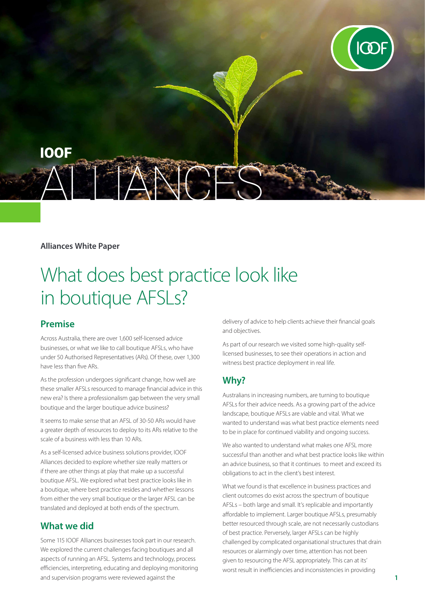

#### **Alliances White Paper**

# What does best practice look like in boutique AFSLs?

## **Premise**

Across Australia, there are over 1,600 self-licensed advice businesses, or what we like to call boutique AFSLs, who have under 50 Authorised Representatives (ARs). Of these, over 1,300 have less than five ARs.

As the profession undergoes significant change, how well are these smaller AFSLs resourced to manage financial advice in this new era? Is there a professionalism gap between the very small boutique and the larger boutique advice business?

It seems to make sense that an AFSL of 30-50 ARs would have a greater depth of resources to deploy to its ARs relative to the scale of a business with less than 10 ARs.

As a self-licensed advice business solutions provider, IOOF Alliances decided to explore whether size really matters or if there are other things at play that make up a successful boutique AFSL. We explored what best practice looks like in a boutique, where best practice resides and whether lessons from either the very small boutique or the larger AFSL can be translated and deployed at both ends of the spectrum.

## **What we did**

Some 115 IOOF Alliances businesses took part in our research. We explored the current challenges facing boutiques and all aspects of running an AFSL. Systems and technology, process efficiencies, interpreting, educating and deploying monitoring and supervision programs were reviewed against the

delivery of advice to help clients achieve their financial goals and objectives.

As part of our research we visited some high-quality selflicensed businesses, to see their operations in action and witness best practice deployment in real life.

## **Why?**

Australians in increasing numbers, are turning to boutique AFSLs for their advice needs. As a growing part of the advice landscape, boutique AFSLs are viable and vital. What we wanted to understand was what best practice elements need to be in place for continued viability and ongoing success.

We also wanted to understand what makes one AFSL more successful than another and what best practice looks like within an advice business, so that it continues to meet and exceed its obligations to act in the client's best interest.

What we found is that excellence in business practices and client outcomes do exist across the spectrum of boutique AFSLs – both large and small. It's replicable and importantly affordable to implement. Larger boutique AFSLs, presumably better resourced through scale, are not necessarily custodians of best practice. Perversely, larger AFSLs can be highly challenged by complicated organisational structures that drain resources or alarmingly over time, attention has not been given to resourcing the AFSL appropriately. This can at its' worst result in inefficiencies and inconsistencies in providing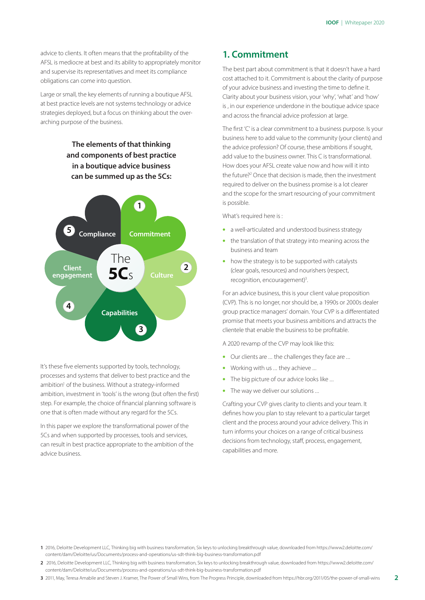advice to clients. It often means that the profitability of the AFSL is mediocre at best and its ability to appropriately monitor and supervise its representatives and meet its compliance obligations can come into question.

Large or small, the key elements of running a boutique AFSL at best practice levels are not systems technology or advice strategies deployed, but a focus on thinking about the overarching purpose of the business.

## **The elements of that thinking and components of best practice in a boutique advice business can be summed up as the 5Cs: Commitment Culture Capabilities Client engagement Compliance** The **5C**s **1 2 3 4 5**

It's these five elements supported by tools, technology, processes and systems that deliver to best practice and the ambition<sup>1</sup> of the business. Without a strategy-informed ambition, investment in 'tools' is the wrong (but often the first) step. For example, the choice of financial planning software is one that is often made without any regard for the 5Cs.

In this paper we explore the transformational power of the 5Cs and when supported by processes, tools and services, can result in best practice appropriate to the ambition of the advice business.

## **1. Commitment**

The best part about commitment is that it doesn't have a hard cost attached to it. Commitment is about the clarity of purpose of your advice business and investing the time to define it. Clarity about your business vision, your 'why', 'what' and 'how' is , in our experience underdone in the boutique advice space and across the financial advice profession at large.

The first 'C' is a clear commitment to a business purpose. Is your business here to add value to the community (your clients) and the advice profession? Of course, these ambitions if sought, add value to the business owner. This C is transformational. How does your AFSL create value now and how will it into the future?<sup>2</sup> Once that decision is made, then the investment required to deliver on the business promise is a lot clearer and the scope for the smart resourcing of your commitment is possible.

What's required here is:

- a well-articulated and understood business strategy
- the translation of that strategy into meaning across the business and team
- how the strategy is to be supported with catalysts (clear goals, resources) and nourishers (respect, recognition, encouragement)<sup>3</sup>. .

For an advice business, this is your client value proposition (CVP). This is no longer, nor should be, a 1990s or 2000s dealer group practice managers' domain. Your CVP is a differentiated promise that meets your business ambitions and attracts the clientele that enable the business to be profitable.

A 2020 revamp of the CVP may look like this:

- Our clients are ... the challenges they face are ...
- Working with us ... they achieve ...
- The big picture of our advice looks like ...
- The way we deliver our solutions ...

Crafting your CVP gives clarity to clients and your team. It defines how you plan to stay relevant to a particular target client and the process around your advice delivery. This in turn informs your choices on a range of critical business decisions from technology, staff, process, engagement, capabilities and more.

- **1** 2016, Deloitte Development LLC, Thinking big with business transformation, Six keys to unlocking breakthrough value, downloaded from https://www2.deloitte.com/ content/dam/Deloitte/us/Documents/process-and-operations/us-sdt-think-big-business-transformation.pdf
- **2** 2016, Deloitte Development LLC, Thinking big with business transformation, Six keys to unlocking breakthrough value, downloaded from https://www2.deloitte.com/ content/dam/Deloitte/us/Documents/process-and-operations/us-sdt-think-big-business-transformation.pdf
- **3** 2011, May, Teresa Amabile and Steven J. Kramer, The Power of Small Wins, from The Progress Principle, downloaded from https://hbr.org/2011/05/the-power-of-small-wins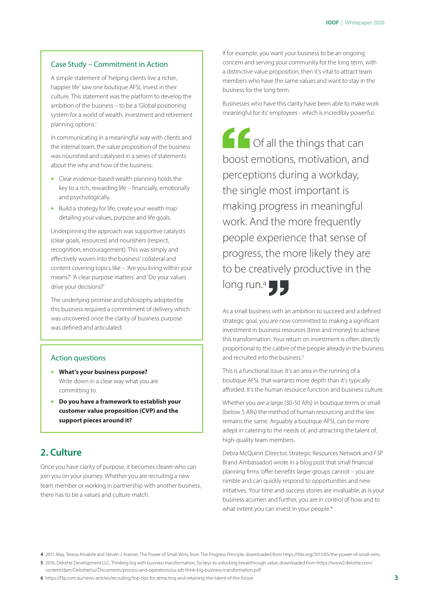#### Case Study – Commitment in Action

A simple statement of 'helping clients live a richer, happier life' saw one boutique AFSL invest in their culture. This statement was the platform to develop the ambition of the business – to be a 'Global positioning system for a world of wealth, investment and retirement planning options.'

In communicating in a meaningful way with clients and the internal team, the value proposition of the business was nourished and catalysed in a series of statements about the why and how of the business:

- Clear evidence-based wealth planning holds the key to a rich, rewarding life – financially, emotionally and psychologically.
- Build a strategy for life, create your wealth map detailing your values, purpose and life goals.

Underpinning the approach was supportive catalysts (clear goals, resources) and nourishers (respect, recognition, encouragement). This was simply and effectively woven into the business' collateral and content covering topics like – 'Are you living within your means?' 'A clear purpose matters' and 'Do your values drive your decisions?'

The underlying promise and philosophy adopted by this business required a commitment of delivery which was uncovered once the clarity of business purpose was defined and articulated.

#### Action questions

- **What's your business purpose?**  Write down in a clear way what you are committing to.
- **Do you have a framework to establish your customer value proposition (CVP) and the support pieces around it?**

## **2. Culture**

Once you have clarity of purpose, it becomes clearer who can join you on your journey. Whether you are recruiting a new team member or working in partnership with another business, there has to be a values and culture match.

If for example, you want your business to be an ongoing concern and serving your community for the long term, with a distinctive value proposition, then it's vital to attract team members who have the same values and want to stay in the business for the long term.

Businesses who have this clarity have been able to make work meaningful for its' employees - which is incredibly powerful.

 Of all the things that can boost emotions, motivation, and perceptions during a workday, the single most important is making progress in meaningful work. And the more frequently people experience that sense of progress, the more likely they are to be creatively productive in the long run.<sup>4</sup>  $\Box$ 

As a small business with an ambition to succeed and a defined strategic goal, you are now committed to making a significant investment in business resources (time and money) to achieve this transformation. Your return on investment is often directly proportional to the calibre of the people already in the business and recruited into the business.<sup>5</sup>

This is a functional issue. It's an area in the running of a boutique AFSL that warrants more depth than it's typically afforded. It's the human resource function and business culture.

Whether you are a large (30-50 ARs) in boutique terms or small (below 5 ARs) the method of human resourcing and the law remains the same. Arguably a boutique AFSL can be more adept in catering to the needs of, and attracting the talent of, high-quality team members.

Debra McQuinn (Director, Strategic Resources Network and F3P Brand Ambassador) wrote in a blog post that small financial planning firms 'offer benefits larger groups cannot – you are nimble and can quickly respond to opportunities and new initiatives. Your time and success stories are invaluable, as is your business acumen and further, you are in control of how and to what extent you can invest in your people.<sup>6</sup>

**4** 2011, May, Teresa Amabile and Steven J. Kramer, The Power of Small Wins, from The Progress Principle, downloaded from https://hbr.org/2011/05/the-power-of-small-wins

**5** 2016, Deloitte Development LLC, Thinking big with business transformation, Six keys to unlocking breakthrough value, downloaded from https://www2.deloitte.com/ content/dam/Deloitte/us/Documents/process-and-operations/us-sdt-think-big-business-transformation.pdf

**6** https://f3p.com.au/news-articles/recruiting/top-tips-for-attracting-and-retaining-the-talent-of-the-future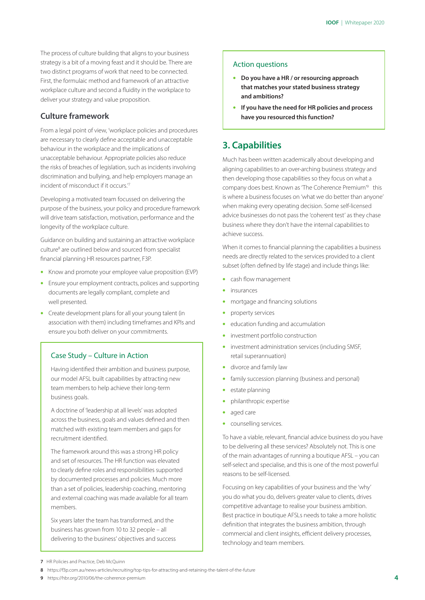The process of culture building that aligns to your business strategy is a bit of a moving feast and it should be. There are two distinct programs of work that need to be connected. First, the formulaic method and framework of an attractive workplace culture and second a fluidity in the workplace to deliver your strategy and value proposition.

### **Culture framework**

From a legal point of view, 'workplace policies and procedures are necessary to clearly define acceptable and unacceptable behaviour in the workplace and the implications of unacceptable behaviour. Appropriate policies also reduce the risks of breaches of legislation, such as incidents involving discrimination and bullying, and help employers manage an incident of misconduct if it occurs.'7

Developing a motivated team focussed on delivering the purpose of the business, your policy and procedure framework will drive team satisfaction, motivation, performance and the longevity of the workplace culture.

Guidance on building and sustaining an attractive workplace culture<sup>8</sup> are outlined below and sourced from specialist financial planning HR resources partner, F3P.

- Know and promote your employee value proposition (EVP)
- Ensure your employment contracts, polices and supporting documents are legally compliant, complete and well presented.
- Create development plans for all your young talent (in association with them) including timeframes and KPIs and ensure you both deliver on your commitments.

#### Case Study – Culture in Action

Having identified their ambition and business purpose, our model AFSL built capabilities by attracting new team members to help achieve their long-term business goals.

A doctrine of 'leadership at all levels' was adopted across the business, goals and values defined and then matched with existing team members and gaps for recruitment identified.

The framework around this was a strong HR policy and set of resources. The HR function was elevated to clearly define roles and responsibilities supported by documented processes and policies. Much more than a set of policies, leadership coaching, mentoring and external coaching was made available for all team members.

Six years later the team has transformed, and the business has grown from 10 to 32 people – all delivering to the business' objectives and success

#### Action questions

- **Do you have a HR / or resourcing approach that matches your stated business strategy and ambitions?**
- **If you have the need for HR policies and process have you resourced this function?**

## **3. Capabilities**

Much has been written academically about developing and aligning capabilities to an over-arching business strategy and then developing those capabilities so they focus on what a company does best. Known as 'The Coherence Premium'<sup>9</sup> this is where a business focuses on 'what we do better than anyone' when making every operating decision. Some self-licensed advice businesses do not pass the 'coherent test' as they chase business where they don't have the internal capabilities to achieve success.

When it comes to financial planning the capabilities a business needs are directly related to the services provided to a client subset (often defined by life stage) and include things like:

- cash flow management
- insurances
- mortgage and financing solutions
- property services
- education funding and accumulation
- investment portfolio construction
- investment administration services (including SMSF, retail superannuation)
- divorce and family law
- family succession planning (business and personal)
- estate planning
- philanthropic expertise
- aged care
- counselling services.

To have a viable, relevant, financial advice business do you have to be delivering all these services? Absolutely not. This is one of the main advantages of running a boutique AFSL – you can self-select and specialise, and this is one of the most powerful reasons to be self-licensed.

Focusing on key capabilities of your business and the 'why' you do what you do, delivers greater value to clients, drives competitive advantage to realise your business ambition. Best practice in boutique AFSLs needs to take a more holistic definition that integrates the business ambition, through commercial and client insights, efficient delivery processes, technology and team members.

**9** https://hbr.org/2010/06/the-coherence-premium

**<sup>7</sup>** HR Policies and Practice, Deb McQuinn

**<sup>8</sup>** https://f3p.com.au/news-articles/recruiting/top-tips-for-attracting-and-retaining-the-talent-of-the-future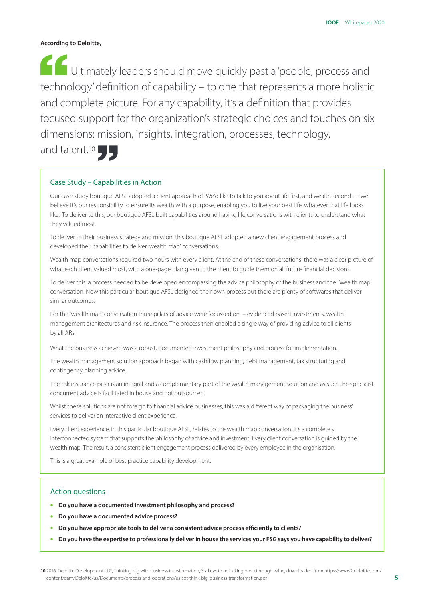#### **According to Deloitte,**

 Ultimately leaders should move quickly past a 'people, process and technology' definition of capability – to one that represents a more holistic and complete picture. For any capability, it's a definition that provides focused support for the organization's strategic choices and touches on six dimensions: mission, insights, integration, processes, technology,

and talent.<sup>10</sup>

#### Case Study – Capabilities in Action

Our case study boutique AFSL adopted a client approach of 'We'd like to talk to you about life first, and wealth second … we believe it's our responsibility to ensure its wealth with a purpose, enabling you to live your best life, whatever that life looks like.' To deliver to this, our boutique AFSL built capabilities around having life conversations with clients to understand what they valued most.

To deliver to their business strategy and mission, this boutique AFSL adopted a new client engagement process and developed their capabilities to deliver 'wealth map' conversations.

Wealth map conversations required two hours with every client. At the end of these conversations, there was a clear picture of what each client valued most, with a one-page plan given to the client to guide them on all future financial decisions.

To deliver this, a process needed to be developed encompassing the advice philosophy of the business and the 'wealth map' conversation. Now this particular boutique AFSL designed their own process but there are plenty of softwares that deliver similar outcomes.

For the 'wealth map' conversation three pillars of advice were focussed on – evidenced based investments, wealth management architectures and risk insurance. The process then enabled a single way of providing advice to all clients by all ARs.

What the business achieved was a robust, documented investment philosophy and process for implementation.

The wealth management solution approach began with cashflow planning, debt management, tax structuring and contingency planning advice.

The risk insurance pillar is an integral and a complementary part of the wealth management solution and as such the specialist concurrent advice is facilitated in house and not outsourced.

Whilst these solutions are not foreign to financial advice businesses, this was a different way of packaging the business' services to deliver an interactive client experience.

Every client experience, in this particular boutique AFSL, relates to the wealth map conversation. It's a completely interconnected system that supports the philosophy of advice and investment. Every client conversation is guided by the wealth map. The result, a consistent client engagement process delivered by every employee in the organisation.

This is a great example of best practice capability development.

#### Action questions

- **Do you have a documented investment philosophy and process?**
- **Do you have a documented advice process?**
- **Do you have appropriate tools to deliver a consistent advice process efficiently to clients?**
- **Do you have the expertise to professionally deliver in house the services your FSG says you have capability to deliver?**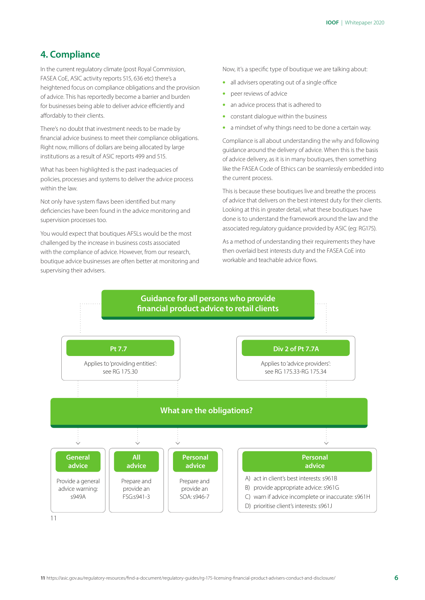## **4. Compliance**

In the current regulatory climate (post Royal Commission, FASEA CoE, ASIC activity reports 515, 636 etc) there's a heightened focus on compliance obligations and the provision of advice. This has reportedly become a barrier and burden for businesses being able to deliver advice efficiently and affordably to their clients.

There's no doubt that investment needs to be made by financial advice business to meet their compliance obligations. Right now, millions of dollars are being allocated by large institutions as a result of ASIC reports 499 and 515.

What has been highlighted is the past inadequacies of policies, processes and systems to deliver the advice process within the law.

Not only have system flaws been identified but many deficiencies have been found in the advice monitoring and supervision processes too.

You would expect that boutiques AFSLs would be the most challenged by the increase in business costs associated with the compliance of advice. However, from our research, boutique advice businesses are often better at monitoring and supervising their advisers.

Now, it's a specific type of boutique we are talking about:

- all advisers operating out of a single office
- peer reviews of advice
- an advice process that is adhered to
- constant dialogue within the business
- a mindset of why things need to be done a certain way.

Compliance is all about understanding the why and following guidance around the delivery of advice. When this is the basis of advice delivery, as it is in many boutiques, then something like the FASEA Code of Ethics can be seamlessly embedded into the current process.

This is because these boutiques live and breathe the process of advice that delivers on the best interest duty for their clients. Looking at this in greater detail, what these boutiques have done is to understand the framework around the law and the associated regulatory guidance provided by ASIC (eg: RG175).

As a method of understanding their requirements they have then overlaid best interests duty and the FASEA CoE into workable and teachable advice flows.

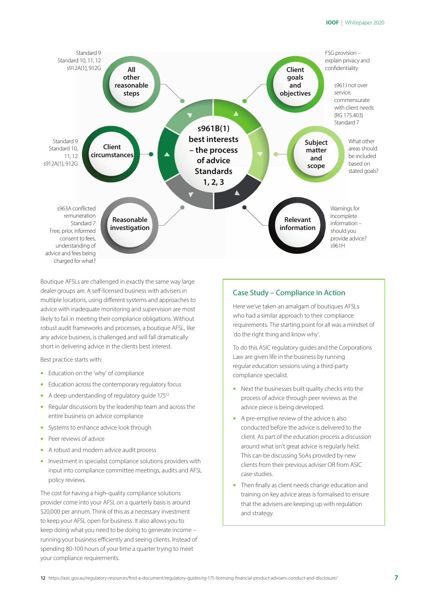

Boutique AFSLs are challenged in exactly the same way large dealer groups are. A self-licensed business with advisers in multiple locations, using different systems and approaches to advice with inadequate monitoring and supervision are most likely to fail in meeting their compliance obligations. Without robust audit frameworks and processes, a boutique AFSL, like any advice business, is challenged and will fall dramatically short in delivering advice in the clients best interest.

Best practice starts with:

- Education on the 'why' of compliance
- Education across the contemporary regulatory focus
- A deep understanding of regulatory guide 17512
- Regular discussions by the leadership team and across the entire business on advice compliance
- Systems to enhance advice look through
- Peer reviews of advice
- A robust and modern advice audit process
- Investment in specialist compliance solutions providers with input into compliance committee meetings, audits and AFSL policy reviews.

The cost for having a high-quality compliance solutions provider come into your AFSL on a quarterly basis is around \$20,000 per annum. Think of this as a necessary investment to keep your AFSL open for business. It also allows you to keep doing what you need to be doing to generate income – running your business efficiently and seeing clients. Instead of spending 80-100 hours of your time a quarter trying to meet your compliance requirements.

#### Case Study – Compliance in Action

Here we've taken an amalgam of boutiques AFSLs who had a similar approach to their compliance requirements. The starting point for all was a mindset of 'do the right thing and know why'.

To do this ASIC regulatory guides and the Corporations Law are given life in the business by running regular education sessions using a third-party compliance specialist.

- Next the businesses built quality checks into the process of advice through peer reviews as the advice piece is being developed.
- A pre-emptive review of the advice is also conducted before the advice is delivered to the client. As part of the education process a discussion around what isn't great advice is regularly held. This can be discussing SoAs provided by new clients from their previous adviser OR from ASIC case studies.
- Then finally as client needs change education and training on key advice areas is formalised to ensure that the advisers are keeping up with regulation and strategy.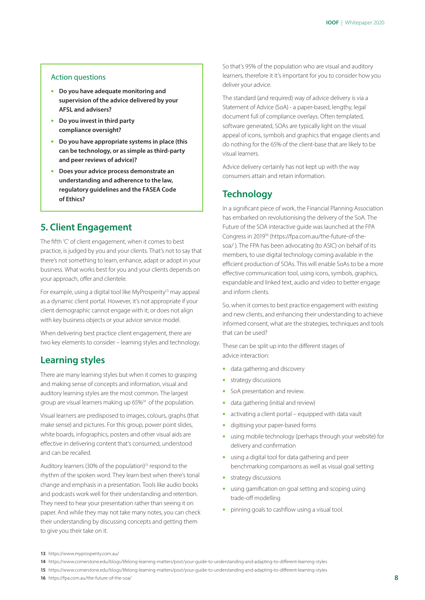#### Action questions

- **Do you have adequate monitoring and supervision of the advice delivered by your AFSL and advisers?**
- **Do you invest in third party compliance oversight?**
- **Do you have appropriate systems in place (this can be technology, or as simple as third-party and peer reviews of advice)?**
- **Does your advice process demonstrate an understanding and adherence to the law, regulatory guidelines and the FASEA Code of Ethics?**

## **5. Client Engagement**

The fifth 'C' of client engagement, when it comes to best practice, is judged by you and your clients. That's not to say that there's not something to learn, enhance, adapt or adopt in your business. What works best for you and your clients depends on your approach, offer and clientele.

For example, using a digital tool like MyProsperity<sup>13</sup> may appeal as a dynamic client portal. However, it's not appropriate if your client demographic cannot engage with it; or does not align with key business objects or your advice service model.

When delivering best practice client engagement, there are two key elements to consider – learning styles and technology.

## **Learning styles**

There are many learning styles but when it comes to grasping and making sense of concepts and information, visual and auditory learning styles are the most common. The largest group are visual learners making up 65%14 of the population.

Visual learners are predisposed to images, colours, graphs (that make sense) and pictures. For this group, power point slides, white boards, infographics, posters and other visual aids are effective in delivering content that's consumed, understood and can be recalled.

Auditory learners (30% of the population)<sup>15</sup> respond to the rhythm of the spoken word. They learn best when there's tonal change and emphasis in a presentation. Tools like audio books and podcasts work well for their understanding and retention. They need to hear your presentation rather than seeing it on paper. And while they may not take many notes, you can check their understanding by discussing concepts and getting them to give you their take on it.

So that's 95% of the population who are visual and auditory learners, therefore it it's important for you to consider how you deliver your advice.

The standard (and required) way of advice delivery is via a Statement of Advice (SoA) - a paper-based, lengthy, legal document full of compliance overlays. Often templated, software generated, SOAs are typically light on the visual appeal of icons, symbols and graphics that engage clients and do nothing for the 65% of the client-base that are likely to be visual learners.

Advice delivery certainly has not kept up with the way consumers attain and retain information.

## **Technology**

In a significant piece of work, the Financial Planning Association has embarked on revolutionising the delivery of the SoA. The Future of the SOA interactive guide was launched at the FPA Congress in 201916 (https://fpa.com.au/the-future-of-thesoa/ ). The FPA has been advocating (to ASIC) on behalf of its members, to use digital technology coming available in the efficient production of SOAs. This will enable SoAs to be a more effective communication tool, using icons, symbols, graphics, expandable and linked text, audio and video to better engage and inform clients.

So, when it comes to best practice engagement with existing and new clients, and enhancing their understanding to achieve informed consent, what are the strategies, techniques and tools that can be used?

These can be split up into the different stages of advice interaction:

- data gathering and discovery
- strategy discussions
- SoA presentation and review.
- data gathering (initial and review)
- activating a client portal equipped with data vault
- digitising your paper-based forms
- using mobile technology (perhaps through your website) for delivery and confirmation
- using a digital tool for data gathering and peer benchmarking comparisons as well as visual goal setting
- strategy discussions
- using gamification on goal setting and scoping using trade-off modelling
- pinning goals to cashflow using a visual tool.

**15** https://www.cornerstone.edu/blogs/lifelong-learning-matters/post/your-guide-to-understanding-and-adapting-to-different-learning-styles

**16** https://fpa.com.au/the-future-of-the-soa/

**<sup>13</sup>** https://www.myprosperity.com.au/

**<sup>14</sup>** https://www.cornerstone.edu/blogs/lifelong-learning-matters/post/your-guide-to-understanding-and-adapting-to-different-learning-styles